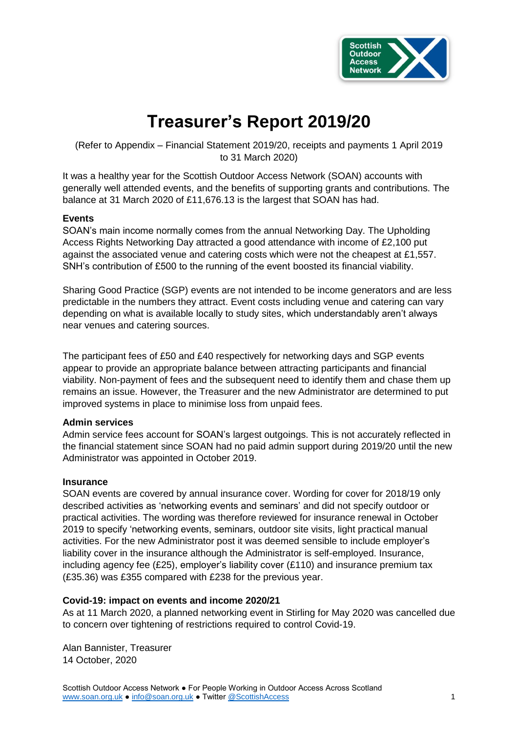

# **Treasurer's Report 2019/20**

(Refer to Appendix – Financial Statement 2019/20, receipts and payments 1 April 2019 to 31 March 2020)

It was a healthy year for the Scottish Outdoor Access Network (SOAN) accounts with generally well attended events, and the benefits of supporting grants and contributions. The balance at 31 March 2020 of £11,676.13 is the largest that SOAN has had.

#### **Events**

SOAN's main income normally comes from the annual Networking Day. The Upholding Access Rights Networking Day attracted a good attendance with income of £2,100 put against the associated venue and catering costs which were not the cheapest at £1,557. SNH's contribution of £500 to the running of the event boosted its financial viability.

Sharing Good Practice (SGP) events are not intended to be income generators and are less predictable in the numbers they attract. Event costs including venue and catering can vary depending on what is available locally to study sites, which understandably aren't always near venues and catering sources.

The participant fees of £50 and £40 respectively for networking days and SGP events appear to provide an appropriate balance between attracting participants and financial viability. Non-payment of fees and the subsequent need to identify them and chase them up remains an issue. However, the Treasurer and the new Administrator are determined to put improved systems in place to minimise loss from unpaid fees.

#### **Admin services**

Admin service fees account for SOAN's largest outgoings. This is not accurately reflected in the financial statement since SOAN had no paid admin support during 2019/20 until the new Administrator was appointed in October 2019.

#### **Insurance**

SOAN events are covered by annual insurance cover. Wording for cover for 2018/19 only described activities as 'networking events and seminars' and did not specify outdoor or practical activities. The wording was therefore reviewed for insurance renewal in October 2019 to specify 'networking events, seminars, outdoor site visits, light practical manual activities. For the new Administrator post it was deemed sensible to include employer's liability cover in the insurance although the Administrator is self-employed. Insurance, including agency fee (£25), employer's liability cover (£110) and insurance premium tax (£35.36) was £355 compared with £238 for the previous year.

#### **Covid-19: impact on events and income 2020/21**

As at 11 March 2020, a planned networking event in Stirling for May 2020 was cancelled due to concern over tightening of restrictions required to control Covid-19.

Alan Bannister, Treasurer 14 October, 2020